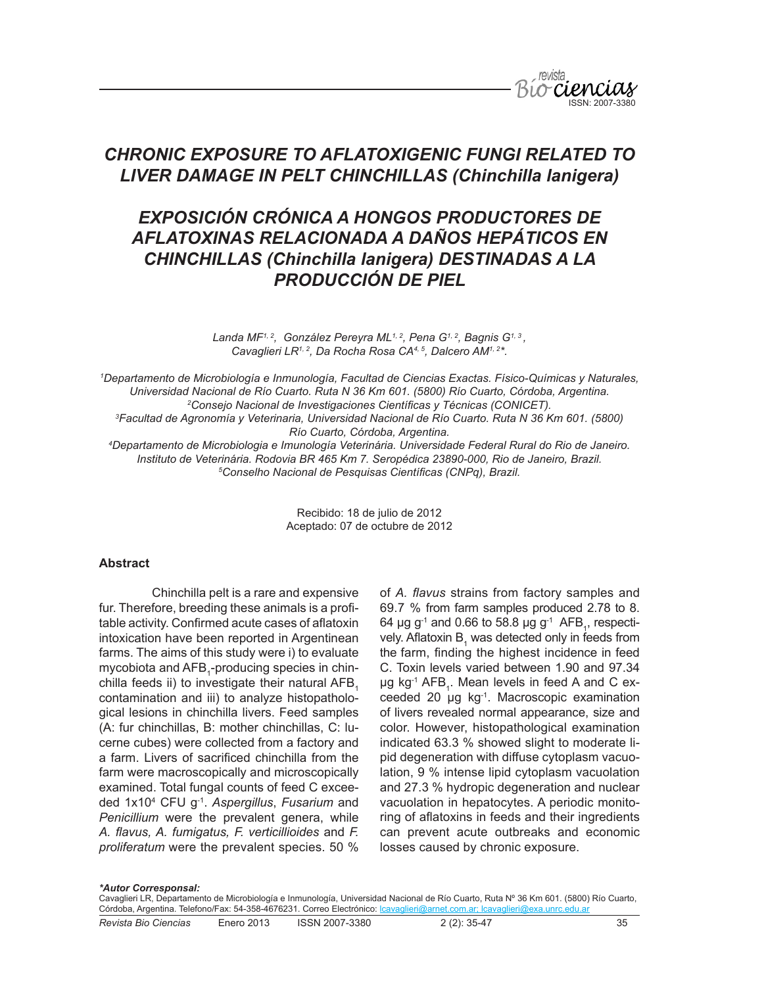

# *CHRONIC EXPOSURE TO AFLATOXIGENIC FUNGI RELATED TO LIVER DAMAGE IN PELT CHINCHILLAS (Chinchilla lanigera)*

# *EXPOSICIÓN CRÓNICA A HONGOS PRODUCTORES DE AFLATOXINAS RELACIONADA A DAÑOS HEPÁTICOS EN CHINCHILLAS (Chinchilla lanigera) DESTINADAS A LA PRODUCCIÓN DE PIEL*

Landa MF<sup>1, 2</sup>, González Pereyra ML<sup>1, 2</sup>, Pena G<sup>1, 2</sup>, Bagnis G<sup>1, 3</sup>, *Cavaglieri LR1, 2, Da Rocha Rosa CA4, 5, Dalcero AM1, 2\*.*

 *Departamento de Microbiología e Inmunología, Facultad de Ciencias Exactas. Físico-Químicas y Naturales, Universidad Nacional de Río Cuarto. Ruta N 36 Km 601. (5800) Río Cuarto, Córdoba, Argentina. Consejo Nacional de Investigaciones Científicas y Técnicas (CONICET). Facultad de Agronomía y Veterinaria, Universidad Nacional de Río Cuarto. Ruta N 36 Km 601. (5800) Río Cuarto, Córdoba, Argentina. Departamento de Microbiologia e Imunología Veterinária. Universidade Federal Rural do Rio de Janeiro.* 

*Instituto de Veterinária. Rodovia BR 465 Km 7. Seropédica 23890-000, Rio de Janeiro, Brazil. 5 Conselho Nacional de Pesquisas Científicas (CNPq), Brazil.*

> Recibido: 18 de julio de 2012 Aceptado: 07 de octubre de 2012

#### **Abstract**

Chinchilla pelt is a rare and expensive fur. Therefore, breeding these animals is a profitable activity. Confirmed acute cases of aflatoxin intoxication have been reported in Argentinean farms. The aims of this study were i) to evaluate mycobiota and  ${\sf AFB}_{\mathfrak q}$ -producing species in chinchilla feeds ii) to investigate their natural AFB. contamination and iii) to analyze histopathological lesions in chinchilla livers. Feed samples (A: fur chinchillas, B: mother chinchillas, C: lucerne cubes) were collected from a factory and a farm. Livers of sacrificed chinchilla from the farm were macroscopically and microscopically examined. Total fungal counts of feed C exceeded 1x104 CFU g-1. *Aspergillus*, *Fusarium* and *Penicillium* were the prevalent genera, while *A. flavus, A. fumigatus, F. verticillioides* and *F. proliferatum* were the prevalent species. 50 %

of *A. flavus* strains from factory samples and 69.7 % from farm samples produced 2.78 to 8. 64 µg g<sup>-1</sup> and 0.66 to 58.8 µg g<sup>-1</sup> AFB<sub>1</sub>, respectively. Aflatoxin  $B_1$  was detected only in feeds from the farm, finding the highest incidence in feed C. Toxin levels varied between 1.90 and 97.34  $\mu$ g kg<sup>-1</sup> AFB<sub>1</sub>. Mean levels in feed A and C exceeded 20 µg kg-1. Macroscopic examination of livers revealed normal appearance, size and color. However, histopathological examination indicated 63.3 % showed slight to moderate lipid degeneration with diffuse cytoplasm vacuolation, 9 % intense lipid cytoplasm vacuolation and 27.3 % hydropic degeneration and nuclear vacuolation in hepatocytes. A periodic monitoring of aflatoxins in feeds and their ingredients can prevent acute outbreaks and economic losses caused by chronic exposure.

#### *\*Autor Corresponsal:*

Cavaglieri LR, Departamento de Microbiología e Inmunología, Universidad Nacional de Río Cuarto, Ruta Nº 36 Km 601. (5800) Río Cuarto, Córdoba, Argentina. Telefono/Fax: 54-358-4676231. Correo Electrónico: *lcavaglieri@arnet.com.ar; lcavaglieri@exa.unrc.edu.ar*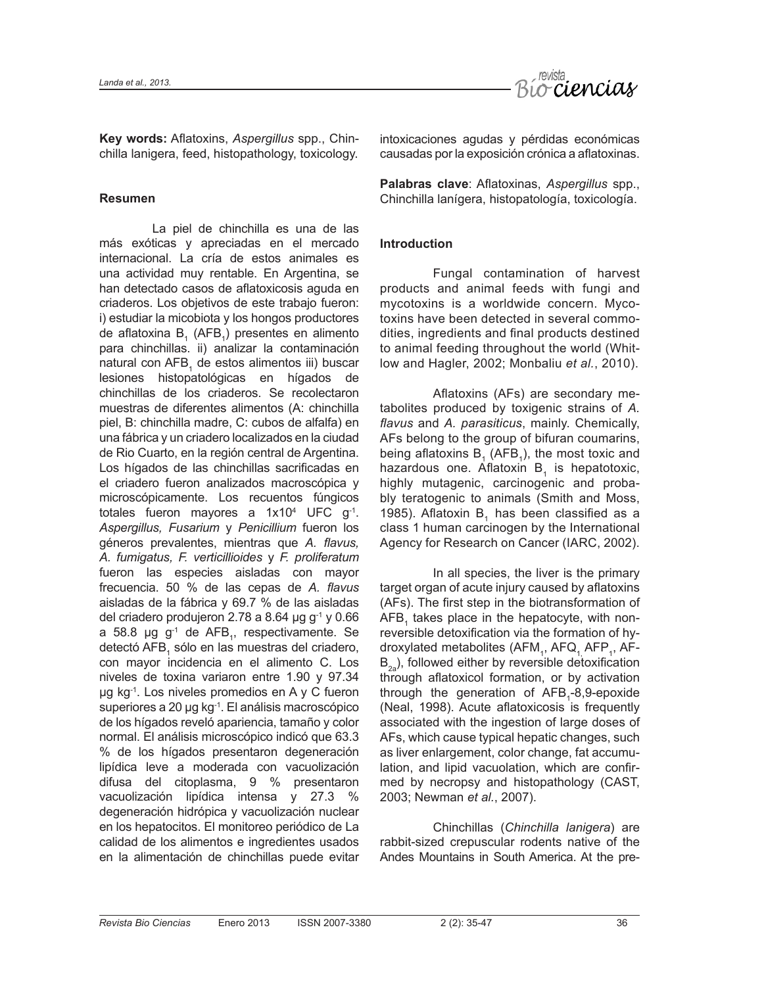

**Key words:** Aflatoxins, *Aspergillus* spp., Chinchilla lanigera, feed, histopathology, toxicology.

# **Resumen**

La piel de chinchilla es una de las más exóticas y apreciadas en el mercado internacional. La cría de estos animales es una actividad muy rentable. En Argentina, se han detectado casos de aflatoxicosis aguda en criaderos. Los objetivos de este trabajo fueron: i) estudiar la micobiota y los hongos productores de aflatoxina B<sub>1</sub> (AFB<sub>1</sub>) presentes en alimento para chinchillas. ii) analizar la contaminación natural con AFB<sub>1</sub> de estos alimentos iii) buscar lesiones histopatológicas en hígados de chinchillas de los criaderos. Se recolectaron muestras de diferentes alimentos (A: chinchilla piel, B: chinchilla madre, C: cubos de alfalfa) en una fábrica y un criadero localizados en la ciudad de Rio Cuarto, en la región central de Argentina. Los hígados de las chinchillas sacrificadas en el criadero fueron analizados macroscópica y microscópicamente. Los recuentos fúngicos totales fueron mayores a 1x10<sup>4</sup> UFC g<sup>-1</sup>. *Aspergillus, Fusarium* y *Penicillium* fueron los géneros prevalentes, mientras que *A. flavus, A. fumigatus, F. verticillioides* y *F. proliferatum* fueron las especies aisladas con mayor frecuencia. 50 % de las cepas de *A. flavus* aisladas de la fábrica y 69.7 % de las aisladas del criadero produjeron 2.78 a 8.64 µg  $g^{-1}$  y 0.66 a 58.8 µg g<sup>-1</sup> de AFB<sub>1</sub>, respectivamente. Se detectó AFB<sub>1</sub> sólo en las muestras del criadero, con mayor incidencia en el alimento C. Los niveles de toxina variaron entre 1.90 y 97.34 µg kg-1. Los niveles promedios en A y C fueron superiores a 20 µg kg-1. El análisis macroscópico de los hígados reveló apariencia, tamaño y color normal. El análisis microscópico indicó que 63.3 % de los hígados presentaron degeneración lipídica leve a moderada con vacuolización difusa del citoplasma, 9 % presentaron vacuolización lipídica intensa y 27.3 % degeneración hidrópica y vacuolización nuclear en los hepatocitos. El monitoreo periódico de La calidad de los alimentos e ingredientes usados en la alimentación de chinchillas puede evitar

intoxicaciones agudas y pérdidas económicas causadas por la exposición crónica a aflatoxinas.

**Palabras clave**: Aflatoxinas, *Aspergillus* spp., Chinchilla lanígera, histopatología, toxicología.

# **Introduction**

Fungal contamination of harvest products and animal feeds with fungi and mycotoxins is a worldwide concern. Mycotoxins have been detected in several commodities, ingredients and final products destined to animal feeding throughout the world (Whitlow and Hagler, 2002; Monbaliu *et al.*, 2010).

Aflatoxins (AFs) are secondary metabolites produced by toxigenic strains of *A. flavus* and *A. parasiticus*, mainly. Chemically, AFs belong to the group of bifuran coumarins, being aflatoxins  $B_1$  (AFB<sub>1</sub>), the most toxic and hazardous one. Aflatoxin  $B_1$  is hepatotoxic, highly mutagenic, carcinogenic and probably teratogenic to animals (Smith and Moss, 1985). Aflatoxin  $B<sub>1</sub>$  has been classified as a class 1 human carcinogen by the International Agency for Research on Cancer (IARC, 2002).

In all species, the liver is the primary target organ of acute injury caused by aflatoxins (AFs). The first step in the biotransformation of  $AFB<sub>1</sub>$  takes place in the hepatocyte, with nonreversible detoxification via the formation of hydroxylated metabolites (AFM<sub>1</sub>, AFQ<sub>1,</sub> AFP<sub>1</sub>, AF- $B_{2a}$ ), followed either by reversible detoxification through aflatoxicol formation, or by activation through the generation of  $AFB<sub>1</sub>-8,9$ -epoxide (Neal, 1998). Acute aflatoxicosis is frequently associated with the ingestion of large doses of AFs, which cause typical hepatic changes, such as liver enlargement, color change, fat accumulation, and lipid vacuolation, which are confirmed by necropsy and histopathology (CAST, 2003; Newman *et al.*, 2007).

Chinchillas (*Chinchilla lanigera*) are rabbit-sized crepuscular rodents native of the Andes Mountains in South America. At the pre-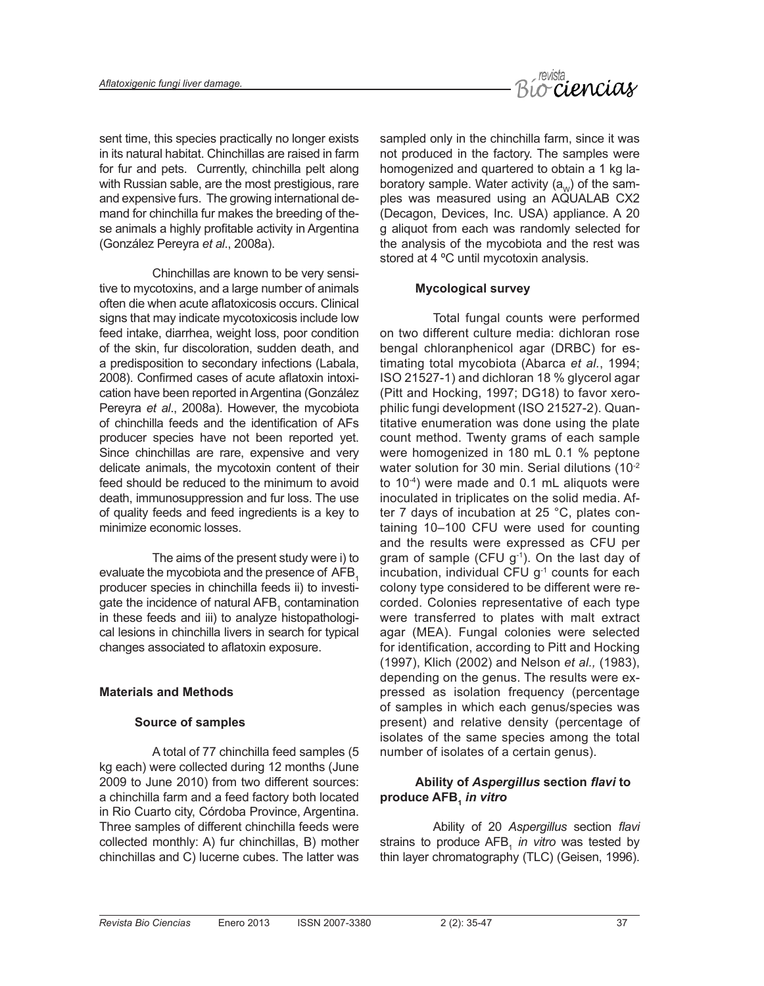

sent time, this species practically no longer exists in its natural habitat. Chinchillas are raised in farm for fur and pets. Currently, chinchilla pelt along with Russian sable, are the most prestigious, rare and expensive furs. The growing international demand for chinchilla fur makes the breeding of these animals a highly profitable activity in Argentina (González Pereyra *et al*., 2008a).

Chinchillas are known to be very sensitive to mycotoxins, and a large number of animals often die when acute aflatoxicosis occurs. Clinical signs that may indicate mycotoxicosis include low feed intake, diarrhea, weight loss, poor condition of the skin, fur discoloration, sudden death, and a predisposition to secondary infections (Labala, 2008). Confirmed cases of acute aflatoxin intoxication have been reported in Argentina (González Pereyra *et al*., 2008a). However, the mycobiota of chinchilla feeds and the identification of AFs producer species have not been reported yet. Since chinchillas are rare, expensive and very delicate animals, the mycotoxin content of their feed should be reduced to the minimum to avoid death, immunosuppression and fur loss. The use of quality feeds and feed ingredients is a key to minimize economic losses.

The aims of the present study were i) to evaluate the mycobiota and the presence of AFB. producer species in chinchilla feeds ii) to investigate the incidence of natural  $\text{AFB}_1$  contamination in these feeds and iii) to analyze histopathological lesions in chinchilla livers in search for typical changes associated to aflatoxin exposure.

# **Materials and Methods**

#### **Source of samples**

A total of 77 chinchilla feed samples (5 kg each) were collected during 12 months (June 2009 to June 2010) from two different sources: a chinchilla farm and a feed factory both located in Rio Cuarto city, Córdoba Province, Argentina. Three samples of different chinchilla feeds were collected monthly: A) fur chinchillas, B) mother chinchillas and C) lucerne cubes. The latter was sampled only in the chinchilla farm, since it was not produced in the factory. The samples were homogenized and quartered to obtain a 1 kg laboratory sample. Water activity  $(a_{\omega})$  of the samples was measured using an AQUALAB CX2 (Decagon, Devices, Inc. USA) appliance. A 20 g aliquot from each was randomly selected for the analysis of the mycobiota and the rest was stored at 4 ºC until mycotoxin analysis.

#### **Mycological survey**

Total fungal counts were performed on two different culture media: dichloran rose bengal chloranphenicol agar (DRBC) for estimating total mycobiota (Abarca *et al.*, 1994; ISO 21527-1) and dichloran 18 % glycerol agar (Pitt and Hocking, 1997; DG18) to favor xerophilic fungi development (ISO 21527-2). Quantitative enumeration was done using the plate count method. Twenty grams of each sample were homogenized in 180 mL 0.1 % peptone water solution for 30 min. Serial dilutions (10<sup>-2</sup>) to 10-4) were made and 0.1 mL aliquots were inoculated in triplicates on the solid media. After 7 days of incubation at 25 °C, plates containing 10–100 CFU were used for counting and the results were expressed as CFU per gram of sample (CFU g<sup>-1</sup>). On the last day of incubation, individual CFU  $q^{-1}$  counts for each colony type considered to be different were recorded. Colonies representative of each type were transferred to plates with malt extract agar (MEA). Fungal colonies were selected for identification, according to Pitt and Hocking (1997), Klich (2002) and Nelson *et al.,* (1983), depending on the genus. The results were expressed as isolation frequency (percentage of samples in which each genus/species was present) and relative density (percentage of isolates of the same species among the total number of isolates of a certain genus).

# **Ability of** *Aspergillus* **section** *flavi* **to produce AFB**, *in vitro*

Ability of 20 *Aspergillus* section *flavi*  strains to produce AFB<sub>1</sub> in vitro was tested by thin layer chromatography (TLC) (Geisen, 1996).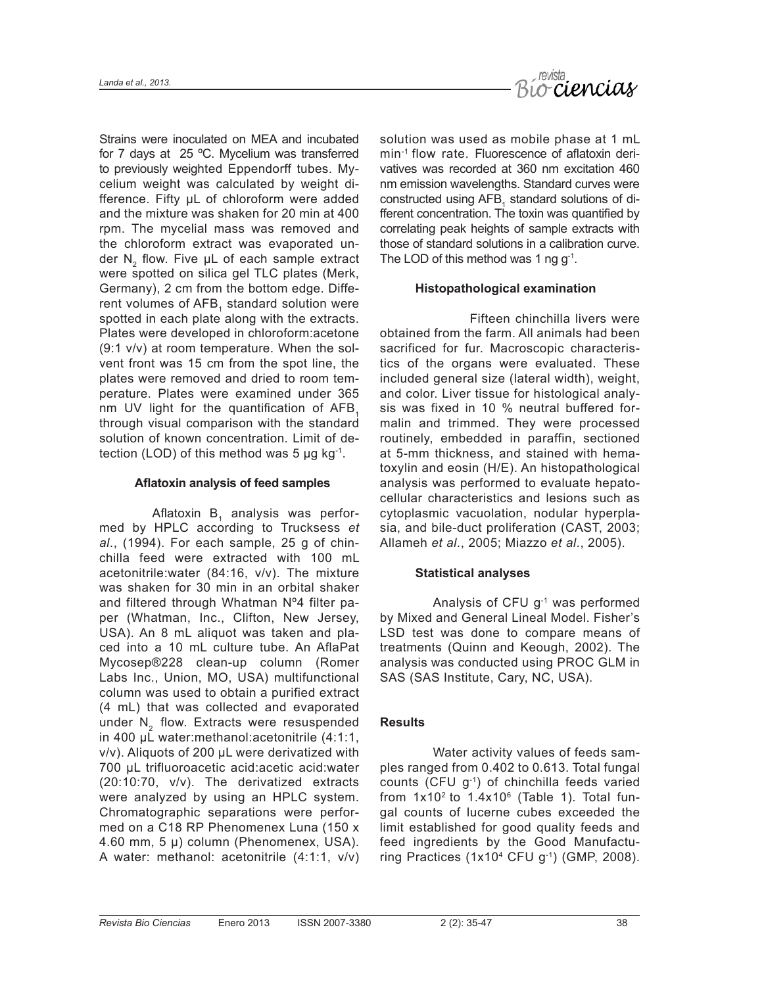

Strains were inoculated on MEA and incubated for 7 days at 25 ºC. Mycelium was transferred to previously weighted Eppendorff tubes. Mycelium weight was calculated by weight difference. Fifty µL of chloroform were added and the mixture was shaken for 20 min at 400 rpm. The mycelial mass was removed and the chloroform extract was evaporated under N<sub>2</sub> flow. Five µL of each sample extract were spotted on silica gel TLC plates (Merk, Germany), 2 cm from the bottom edge. Different volumes of AFB, standard solution were spotted in each plate along with the extracts. Plates were developed in chloroform:acetone (9:1 v/v) at room temperature. When the solvent front was 15 cm from the spot line, the plates were removed and dried to room temperature. Plates were examined under 365 nm UV light for the quantification of AFB, through visual comparison with the standard solution of known concentration. Limit of detection (LOD) of this method was 5  $\mu$ g kg<sup>-1</sup>.

#### **Aflatoxin analysis of feed samples**

Aflatoxin  $B_1$  analysis was performed by HPLC according to Trucksess *et al*., (1994). For each sample, 25 g of chinchilla feed were extracted with 100 mL acetonitrile:water (84:16, v/v). The mixture was shaken for 30 min in an orbital shaker and filtered through Whatman Nº4 filter paper (Whatman, Inc., Clifton, New Jersey, USA). An 8 mL aliquot was taken and placed into a 10 mL culture tube. An AflaPat Mycosep®228 clean-up column (Romer Labs Inc., Union, MO, USA) multifunctional column was used to obtain a purified extract (4 mL) that was collected and evaporated under N<sub>2</sub> flow. Extracts were resuspended in 400 µL water:methanol:acetonitrile (4:1:1, v/v). Aliquots of 200 µL were derivatized with 700 µL trifluoroacetic acid:acetic acid:water (20:10:70, v/v). The derivatized extracts were analyzed by using an HPLC system. Chromatographic separations were performed on a C18 RP Phenomenex Luna (150 x 4.60 mm, 5 µ) column (Phenomenex, USA). A water: methanol: acetonitrile (4:1:1, v/v) solution was used as mobile phase at 1 mL min-1 flow rate. Fluorescence of aflatoxin derivatives was recorded at 360 nm excitation 460 nm emission wavelengths. Standard curves were constructed using  $AFB<sub>1</sub>$  standard solutions of different concentration. The toxin was quantified by correlating peak heights of sample extracts with those of standard solutions in a calibration curve. The LOD of this method was 1 ng  $q^{-1}$ .

# **Histopathological examination**

Fifteen chinchilla livers were obtained from the farm. All animals had been sacrificed for fur. Macroscopic characteristics of the organs were evaluated. These included general size (lateral width), weight, and color. Liver tissue for histological analysis was fixed in 10 % neutral buffered formalin and trimmed. They were processed routinely, embedded in paraffin, sectioned at 5-mm thickness, and stained with hematoxylin and eosin (H/E). An histopathological analysis was performed to evaluate hepatocellular characteristics and lesions such as cytoplasmic vacuolation, nodular hyperplasia, and bile-duct proliferation (CAST, 2003; Allameh *et al*., 2005; Miazzo *et al*., 2005).

#### **Statistical analyses**

Analysis of CFU g-1 was performed by Mixed and General Lineal Model. Fisher's LSD test was done to compare means of treatments (Quinn and Keough, 2002). The analysis was conducted using PROC GLM in SAS (SAS Institute, Cary, NC, USA).

# **Results**

Water activity values of feeds samples ranged from 0.402 to 0.613. Total fungal counts (CFU g-1) of chinchilla feeds varied from  $1x10^2$  to  $1.4x10^6$  (Table 1). Total fungal counts of lucerne cubes exceeded the limit established for good quality feeds and feed ingredients by the Good Manufacturing Practices (1x10<sup>4</sup> CFU  $g^{-1}$ ) (GMP, 2008).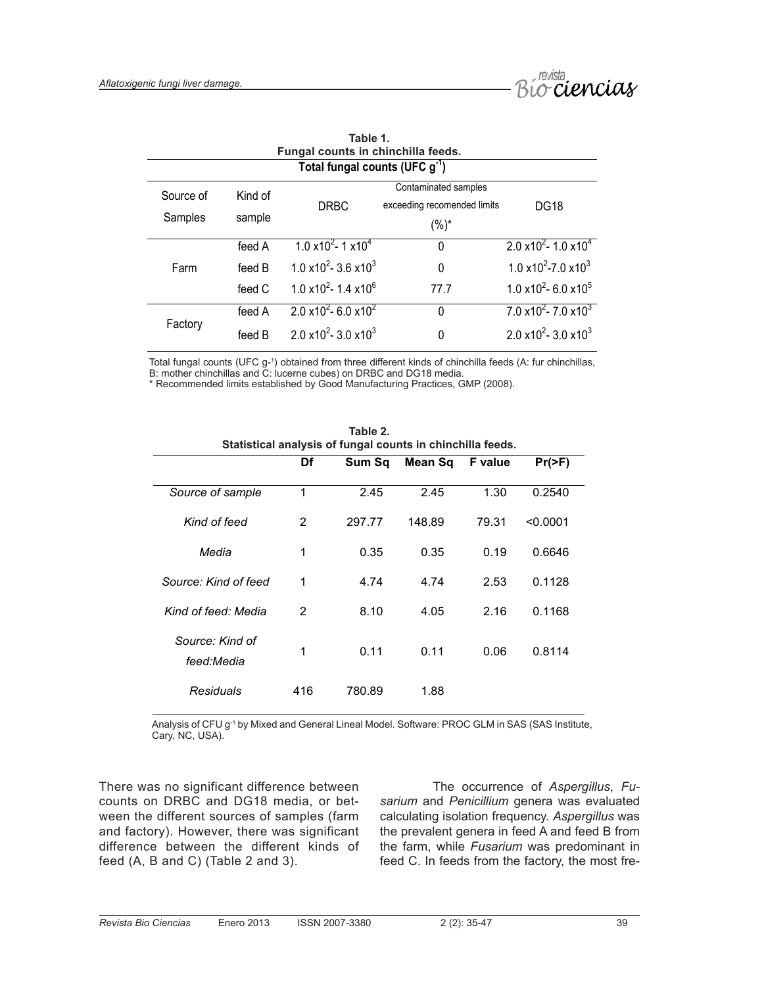

| Fungal counts in chinchilla feeds.  |         |                                                             |                             |                                                             |  |  |  |
|-------------------------------------|---------|-------------------------------------------------------------|-----------------------------|-------------------------------------------------------------|--|--|--|
| Total fungal counts (UFC $g^{-1}$ ) |         |                                                             |                             |                                                             |  |  |  |
| Source of                           | Kind of | Contaminated samples                                        |                             |                                                             |  |  |  |
| Samples                             |         | <b>DRBC</b>                                                 | exceeding recomended limits | <b>DG18</b>                                                 |  |  |  |
|                                     | sample  |                                                             | $(%)^*$                     |                                                             |  |  |  |
|                                     | feed A  | $1.0 \times 10^{2}$ - 1 $\times 10^{4}$                     | 0                           | $2.0 \times 10^{2} - 1.0 \times 10^{4}$                     |  |  |  |
| Farm                                | feed B  | $1.0 \times 10^{2} - 3.6 \times 10^{3}$                     | 0                           | 1.0 $\times$ 10 <sup>2</sup> -7.0 $\times$ 10 <sup>3</sup>  |  |  |  |
|                                     | feed C  | $1.0 \times 10^{2} - 1.4 \times 10^{6}$                     | 77.7                        | 1.0 $\times$ 10 <sup>2</sup> - 6.0 $\times$ 10 <sup>5</sup> |  |  |  |
| Factory                             | feed A  | 2.0 $\times$ 10 <sup>2</sup> - 6.0 $\times$ 10 <sup>2</sup> | 0                           | $7.0 \times 10^{2} - 7.0 \times 10^{3}$                     |  |  |  |
|                                     | feed B  | 2.0 $\times$ 10 <sup>2</sup> - 3.0 $\times$ 10 <sup>3</sup> | 0                           | 2.0 $\times$ 10 <sup>2</sup> - 3.0 $\times$ 10 <sup>3</sup> |  |  |  |

| Table 1.                                  |  |  |  |  |  |
|-------------------------------------------|--|--|--|--|--|
| Fungal counts in chinchilla feeds.        |  |  |  |  |  |
| Total funnal counts (LIFC $\alpha^{-1}$ ) |  |  |  |  |  |

Total fungal counts (UFC g-1 ) obtained from three different kinds of chinchilla feeds (A: fur chinchillas, B: mother chinchillas and C: lucerne cubes) on DRBC and DG18 media.

\* Recommended limits established by Good Manufacturing Practices, GMP (2008).

| Statistical analysis of fungal counts in chinchilla feeds. |     |        |         |                |           |  |
|------------------------------------------------------------|-----|--------|---------|----------------|-----------|--|
|                                                            | Df  | Sum Sq | Mean Sq | <b>F</b> value | $Pr(>=F)$ |  |
| Source of sample                                           | 1   | 2.45   | 2.45    | 1.30           | 0.2540    |  |
| Kind of feed                                               | 2   | 297.77 | 148.89  | 79.31          | < 0.0001  |  |
| Media                                                      | 1   | 0.35   | 0.35    | 0.19           | 0.6646    |  |
| Source: Kind of feed                                       | 1   | 4.74   | 4.74    | 2.53           | 0.1128    |  |
| Kind of feed: Media                                        | 2   | 8.10   | 4.05    | 2.16           | 0.1168    |  |
| Source: Kind of<br>feed:Media                              | 1   | 0.11   | 0.11    | 0.06           | 0.8114    |  |
| Residuals                                                  | 416 | 780.89 | 1.88    |                |           |  |

**Table 2.**

Analysis of CFU g<sup>-1</sup> by Mixed and General Lineal Model. Software: PROC GLM in SAS (SAS Institute, Cary, NC, USA).

There was no significant difference between counts on DRBC and DG18 media, or between the different sources of samples (farm and factory). However, there was significant difference between the different kinds of feed (A, B and C) (Table 2 and 3).

The occurrence of *Aspergillus*, *Fusarium* and *Penicillium* genera was evaluated calculating isolation frequency. *Aspergillus* was the prevalent genera in feed A and feed B from the farm, while *Fusarium* was predominant in feed C. In feeds from the factory, the most fre-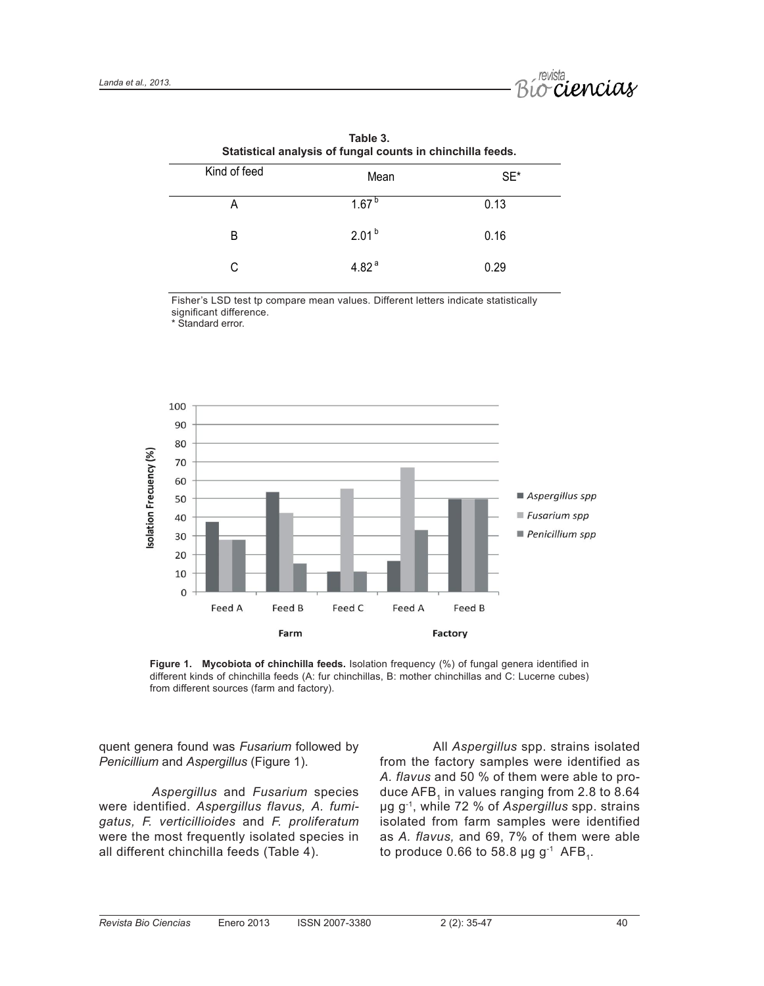

| Statistical analysis of fungal counts in chinchilla feeds. |                   |        |  |  |  |  |
|------------------------------------------------------------|-------------------|--------|--|--|--|--|
| Kind of feed                                               | Mean              | $SE^*$ |  |  |  |  |
| А                                                          | 1.67 <sup>b</sup> | 0.13   |  |  |  |  |
| B                                                          | $2.01^{b}$        | 0.16   |  |  |  |  |
| C                                                          | 4.82 $a$          | 0.29   |  |  |  |  |

| Table 3.                                                   |  |  |  |  |  |
|------------------------------------------------------------|--|--|--|--|--|
| Statistical analysis of fungal counts in chinchilla feeds. |  |  |  |  |  |

Fisher's LSD test tp compare mean values. Different letters indicate statistically significant difference.

\* Standard error.



**Figure 1. Mycobiota of chinchilla feeds.** Isolation frequency (%) of fungal genera identified in different kinds of chinchilla feeds (A: fur chinchillas, B: mother chinchillas and C: Lucerne cubes) from different sources (farm and factory).

quent genera found was *Fusarium* followed by *Penicillium* and *Aspergillus* (Figure 1).

*Aspergillus* and *Fusarium* species were identified. *Aspergillus flavus, A. fumigatus, F. verticillioides* and *F. proliferatum* were the most frequently isolated species in all different chinchilla feeds (Table 4).

All *Aspergillus* spp. strains isolated from the factory samples were identified as *A. flavus* and 50 % of them were able to produce AFB<sub>1</sub> in values ranging from 2.8 to 8.64 µg g-1, while 72 % of *Aspergillus* spp. strains isolated from farm samples were identified as *A. flavus,* and 69, 7% of them were able to produce 0.66 to 58.8  $\mu$ g g<sup>-1</sup> AFB<sub>1</sub>.

40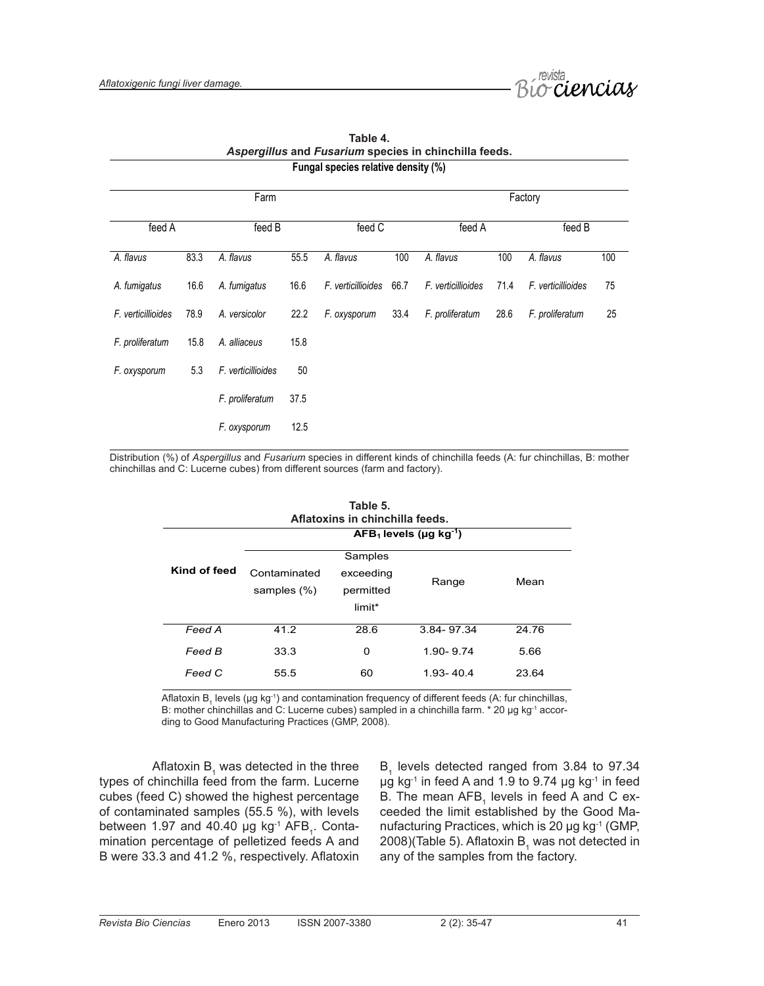

| Fungal species relative density (%) |      |                    |      |                    |      |                    |      |                    |     |
|-------------------------------------|------|--------------------|------|--------------------|------|--------------------|------|--------------------|-----|
|                                     |      | Farm               |      |                    |      |                    |      | Factory            |     |
| feed A                              |      | feed B             |      | feed C             |      | feed A             |      | feed B             |     |
| A. flavus                           | 83.3 | A. flavus          | 55.5 | A. flavus          | 100  | A. flavus          | 100  | A. flavus          | 100 |
| A. fumigatus                        | 16.6 | A. fumigatus       | 16.6 | F. verticillioides | 66.7 | F. verticillioides | 71.4 | F. verticillioides | 75  |
| F. verticillioides                  | 78.9 | A. versicolor      | 22.2 | F. oxysporum       | 33.4 | F. proliferatum    | 28.6 | F. proliferatum    | 25  |
| F. proliferatum                     | 15.8 | A. alliaceus       | 15.8 |                    |      |                    |      |                    |     |
| F. oxysporum                        | 5.3  | F. verticillioides | 50   |                    |      |                    |      |                    |     |
|                                     |      | F. proliferatum    | 37.5 |                    |      |                    |      |                    |     |
|                                     |      | F. oxysporum       | 12.5 |                    |      |                    |      |                    |     |

**Table 4.** *Aspergillus* **and** *Fusarium* **species in chinchilla feeds.** 

Distribution (%) of *Aspergillus* and *Fusarium* species in different kinds of chinchilla feeds (A: fur chinchillas, B: mother chinchillas and C: Lucerne cubes) from different sources (farm and factory).

| Table 5.<br>Aflatoxins in chinchilla feeds.<br>$AFB1$ levels (µg kg <sup>-1</sup> ) |                             |      |            |       |  |  |
|-------------------------------------------------------------------------------------|-----------------------------|------|------------|-------|--|--|
| Kind of feed                                                                        | Contaminated<br>samples (%) | Mean |            |       |  |  |
| Feed A                                                                              | 41.2                        | 28.6 | 3.84-97.34 | 24.76 |  |  |
| Feed B                                                                              | 33.3                        | 0    | 1.90-9.74  | 5.66  |  |  |
| Feed C                                                                              | 55.5                        | 60   | 1 93-404   | 23.64 |  |  |

Aflatoxin B<sub>1</sub> levels (µg kg<sup>-1</sup>) and contamination frequency of different feeds (A: fur chinchillas, B: mother chinchillas and C: Lucerne cubes) sampled in a chinchilla farm. \* 20 µg kg<sup>-1</sup> according to Good Manufacturing Practices (GMP, 2008).

Aflatoxin B $_1$  was detected in the three types of chinchilla feed from the farm. Lucerne cubes (feed C) showed the highest percentage of contaminated samples (55.5 %), with levels between 1.97 and 40.40  $\mu$ g kg<sup>-1</sup> AFB<sub>1</sub>. Contamination percentage of pelletized feeds A and B were 33.3 and 41.2 %, respectively. Aflatoxin

 $B<sub>1</sub>$  levels detected ranged from 3.84 to 97.34  $\mu$ g kg<sup>-1</sup> in feed A and 1.9 to 9.74  $\mu$ g kg<sup>-1</sup> in feed B. The mean AFB<sub>1</sub> levels in feed A and C exceeded the limit established by the Good Manufacturing Practices, which is 20 µg kg-1 (GMP, 2008)(Table 5). Aflatoxin  $B_1$  was not detected in any of the samples from the factory.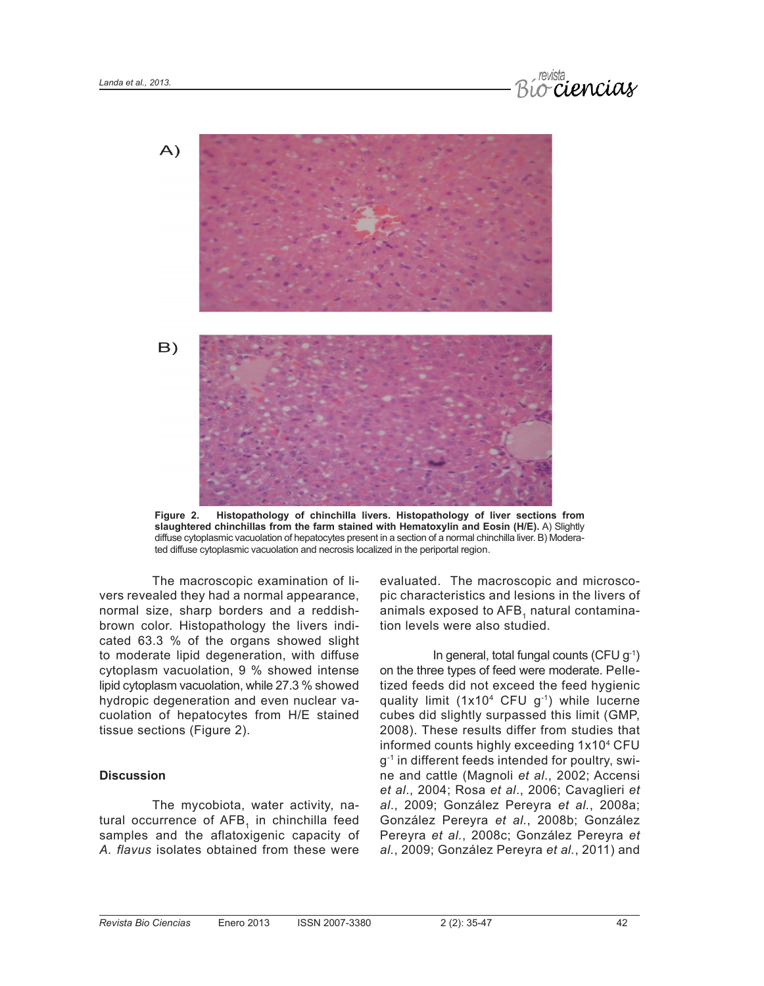



**Figure 2. Histopathology of chinchilla livers. Histopathology of liver sections from slaughtered chinchillas from the farm stained with Hematoxylin and Eosin (H/E).** A) Slightly diffuse cytoplasmic vacuolation of hepatocytes present in a section of a normal chinchilla liver. B) Moderated diffuse cytoplasmic vacuolation and necrosis localized in the periportal region.

The macroscopic examination of livers revealed they had a normal appearance, normal size, sharp borders and a reddishbrown color. Histopathology the livers indicated 63.3 % of the organs showed slight to moderate lipid degeneration, with diffuse cytoplasm vacuolation, 9 % showed intense lipid cytoplasm vacuolation, while 27.3 % showed hydropic degeneration and even nuclear vacuolation of hepatocytes from H/E stained tissue sections (Figure 2).

#### **Discussion**

The mycobiota, water activity, natural occurrence of AFB, in chinchilla feed samples and the aflatoxigenic capacity of *A. flavus* isolates obtained from these were evaluated. The macroscopic and microscopic characteristics and lesions in the livers of animals exposed to AFB, natural contamination levels were also studied.

In general, total fungal counts (CFU g-1) on the three types of feed were moderate. Pelletized feeds did not exceed the feed hygienic quality limit  $(1x10^4 \text{ CFU } g^{-1})$  while lucerne cubes did slightly surpassed this limit (GMP, 2008). These results differ from studies that informed counts highly exceeding 1x10<sup>4</sup> CFU  $g^{-1}$  in different feeds intended for poultry, swine and cattle (Magnoli *et al*., 2002; Accensi *et al*., 2004; Rosa *et al*., 2006; Cavaglieri *et al*., 2009; González Pereyra *et al.*, 2008a; González Pereyra *et al.*, 2008b; González Pereyra *et al.*, 2008c; González Pereyra *et al.*, 2009; González Pereyra *et al.*, 2011) and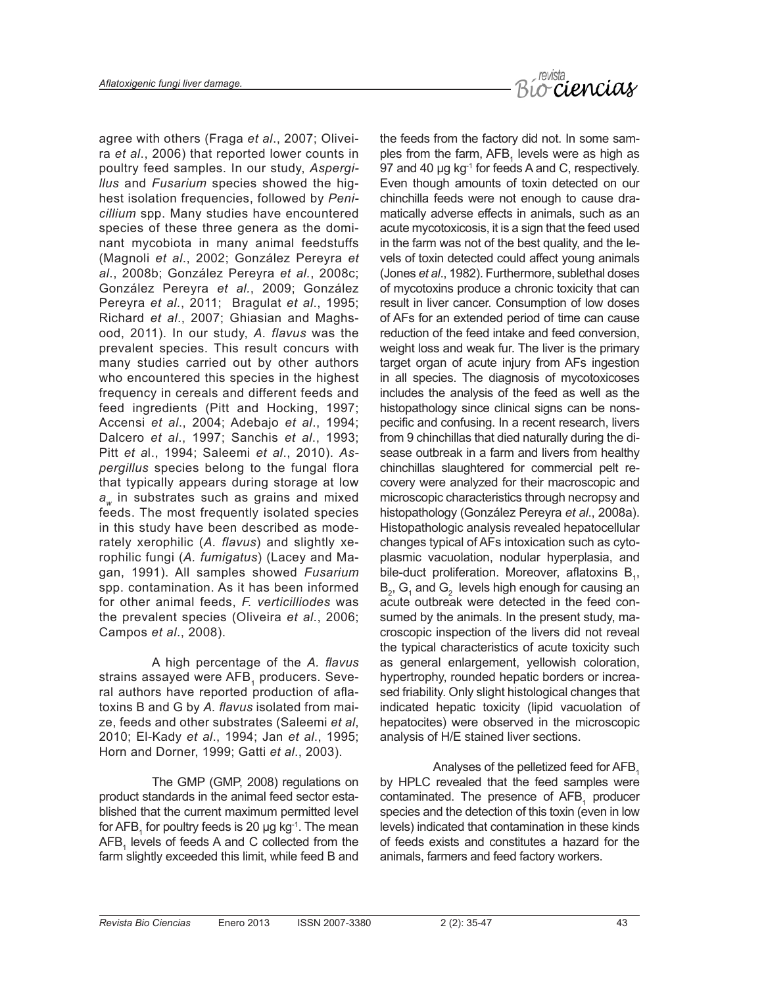

agree with others (Fraga *et al*., 2007; Oliveira *et al*., 2006) that reported lower counts in poultry feed samples. In our study, *Aspergillus* and *Fusarium* species showed the highest isolation frequencies, followed by *Penicillium* spp. Many studies have encountered species of these three genera as the dominant mycobiota in many animal feedstuffs (Magnoli *et al*., 2002; González Pereyra *et al*., 2008b; González Pereyra *et al.*, 2008c; González Pereyra *et al.*, 2009; González Pereyra *et al.*, 2011; Bragulat *et al*., 1995; Richard *et al*., 2007; Ghiasian and Maghsood, 2011). In our study, *A. flavus* was the prevalent species. This result concurs with many studies carried out by other authors who encountered this species in the highest frequency in cereals and different feeds and feed ingredients (Pitt and Hocking, 1997; Accensi *et al*., 2004; Adebajo *et al*., 1994; Dalcero *et al*., 1997; Sanchis *et al*., 1993; Pitt *et a*l., 1994; Saleemi *et al*., 2010). *Aspergillus* species belong to the fungal flora that typically appears during storage at low *a<sub>w</sub>* in substrates such as grains and mixed feeds. The most frequently isolated species in this study have been described as moderately xerophilic (*A. flavus*) and slightly xerophilic fungi (*A. fumigatus*) (Lacey and Magan, 1991). All samples showed *Fusarium*  spp. contamination. As it has been informed for other animal feeds, *F. verticilliodes* was the prevalent species (Oliveira *et al*., 2006; Campos *et al*., 2008).

A high percentage of the *A. flavus*  strains assayed were AFB, producers. Several authors have reported production of aflatoxins B and G by *A. flavus* isolated from maize, feeds and other substrates (Saleemi *et al*, 2010; El-Kady *et al*., 1994; Jan *et al*., 1995; Horn and Dorner, 1999; Gatti *et al*., 2003).

The GMP (GMP, 2008) regulations on product standards in the animal feed sector established that the current maximum permitted level for AFB<sub>1</sub> for poultry feeds is 20 µg kg<sup>-1</sup>. The mean  $AFB<sub>1</sub>$  levels of feeds A and C collected from the farm slightly exceeded this limit, while feed B and

the feeds from the factory did not. In some samples from the farm,  $AFB<sub>1</sub>$  levels were as high as 97 and 40 µg kg<sup>-1</sup> for feeds A and C, respectively. Even though amounts of toxin detected on our chinchilla feeds were not enough to cause dramatically adverse effects in animals, such as an acute mycotoxicosis, it is a sign that the feed used in the farm was not of the best quality, and the levels of toxin detected could affect young animals (Jones *et al*., 1982). Furthermore, sublethal doses of mycotoxins produce a chronic toxicity that can result in liver cancer. Consumption of low doses of AFs for an extended period of time can cause reduction of the feed intake and feed conversion, weight loss and weak fur. The liver is the primary target organ of acute injury from AFs ingestion in all species. The diagnosis of mycotoxicoses includes the analysis of the feed as well as the histopathology since clinical signs can be nonspecific and confusing. In a recent research, livers from 9 chinchillas that died naturally during the disease outbreak in a farm and livers from healthy chinchillas slaughtered for commercial pelt recovery were analyzed for their macroscopic and microscopic characteristics through necropsy and histopathology (González Pereyra *et al*., 2008a). Histopathologic analysis revealed hepatocellular changes typical of AFs intoxication such as cytoplasmic vacuolation, nodular hyperplasia, and bile-duct proliferation. Moreover, aflatoxins  $B_1$ ,  $B_2$ ,  $G_1$  and  $G_2$  levels high enough for causing an acute outbreak were detected in the feed consumed by the animals. In the present study, macroscopic inspection of the livers did not reveal the typical characteristics of acute toxicity such as general enlargement, yellowish coloration, hypertrophy, rounded hepatic borders or increased friability. Only slight histological changes that indicated hepatic toxicity (lipid vacuolation of hepatocites) were observed in the microscopic analysis of H/E stained liver sections.

Analyses of the pelletized feed for AFB. by HPLC revealed that the feed samples were contaminated. The presence of  $AFB<sub>1</sub>$  producer species and the detection of this toxin (even in low levels) indicated that contamination in these kinds of feeds exists and constitutes a hazard for the animals, farmers and feed factory workers.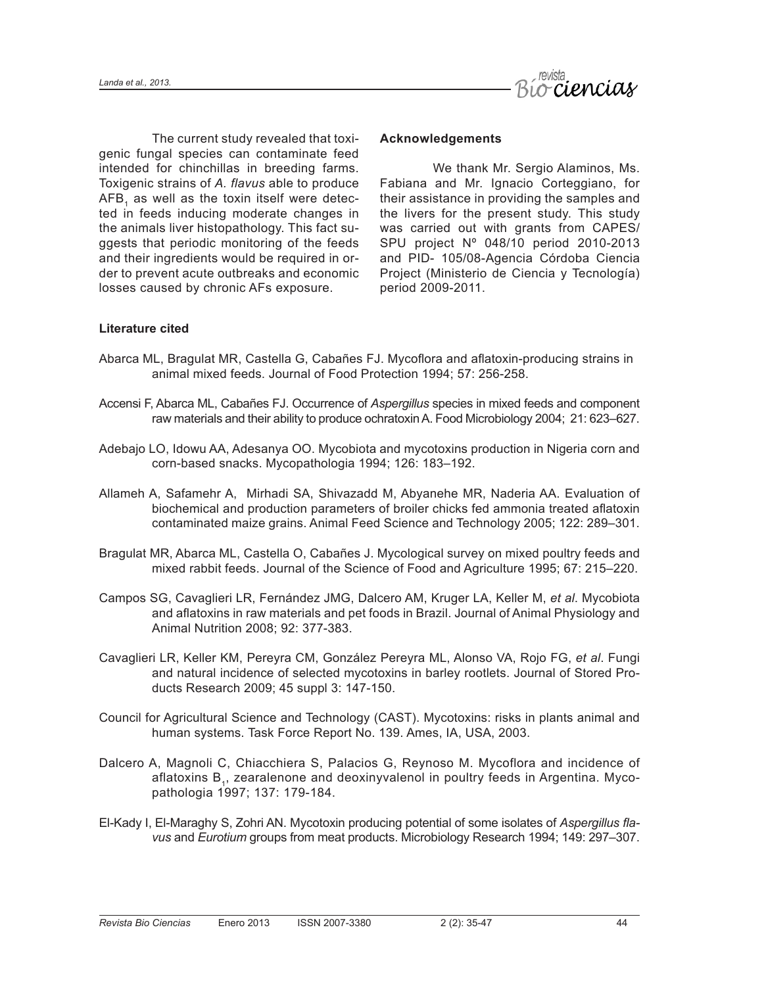

The current study revealed that toxigenic fungal species can contaminate feed intended for chinchillas in breeding farms. Toxigenic strains of *A. flavus* able to produce AFB, as well as the toxin itself were detected in feeds inducing moderate changes in the animals liver histopathology. This fact suggests that periodic monitoring of the feeds and their ingredients would be required in order to prevent acute outbreaks and economic losses caused by chronic AFs exposure.

#### **Acknowledgements**

We thank Mr. Sergio Alaminos, Ms. Fabiana and Mr. Ignacio Corteggiano, for their assistance in providing the samples and the livers for the present study. This study was carried out with grants from CAPES/ SPU project Nº 048/10 period 2010-2013 and PID- 105/08-Agencia Córdoba Ciencia Project (Ministerio de Ciencia y Tecnología) period 2009-2011.

# **Literature cited**

- Abarca ML, Bragulat MR, Castella G, Cabañes FJ. Mycoflora and aflatoxin-producing strains in animal mixed feeds. Journal of Food Protection 1994; 57: 256-258.
- Accensi F, Abarca ML, Cabañes FJ. Occurrence of *Aspergillus* species in mixed feeds and component raw materials and their ability to produce ochratoxin A. Food Microbiology 2004; 21: 623–627.
- Adebajo LO, Idowu AA, Adesanya OO. Mycobiota and mycotoxins production in Nigeria corn and corn-based snacks. Mycopathologia 1994; 126: 183–192.
- Allameh A, Safamehr A, Mirhadi SA, Shivazadd M, Abyanehe MR, Naderia AA. Evaluation of biochemical and production parameters of broiler chicks fed ammonia treated aflatoxin contaminated maize grains. Animal Feed Science and Technology 2005; 122: 289–301.
- Bragulat MR, Abarca ML, Castella O, Cabañes J. Mycological survey on mixed poultry feeds and mixed rabbit feeds. Journal of the Science of Food and Agriculture 1995; 67: 215–220.
- Campos SG, Cavaglieri LR, Fernández JMG, Dalcero AM, Kruger LA, Keller M, *et al*. Mycobiota and aflatoxins in raw materials and pet foods in Brazil. Journal of Animal Physiology and Animal Nutrition 2008; 92: 377-383.
- Cavaglieri LR, Keller KM, Pereyra CM, González Pereyra ML, Alonso VA, Rojo FG, *et al*. Fungi and natural incidence of selected mycotoxins in barley rootlets. Journal of Stored Products Research 2009; 45 suppl 3: 147-150.
- Council for Agricultural Science and Technology (CAST). Mycotoxins: risks in plants animal and human systems. Task Force Report No. 139. Ames, IA, USA, 2003.
- Dalcero A, Magnoli C, Chiacchiera S, Palacios G, Reynoso M. Mycoflora and incidence of aflatoxins B<sub>1</sub>, zearalenone and deoxinyvalenol in poultry feeds in Argentina. Mycopathologia 1997; 137: 179-184.
- El-Kady I, El-Maraghy S, Zohri AN. Mycotoxin producing potential of some isolates of *Aspergillus flavus* and *Eurotium* groups from meat products. Microbiology Research 1994; 149: 297–307.

44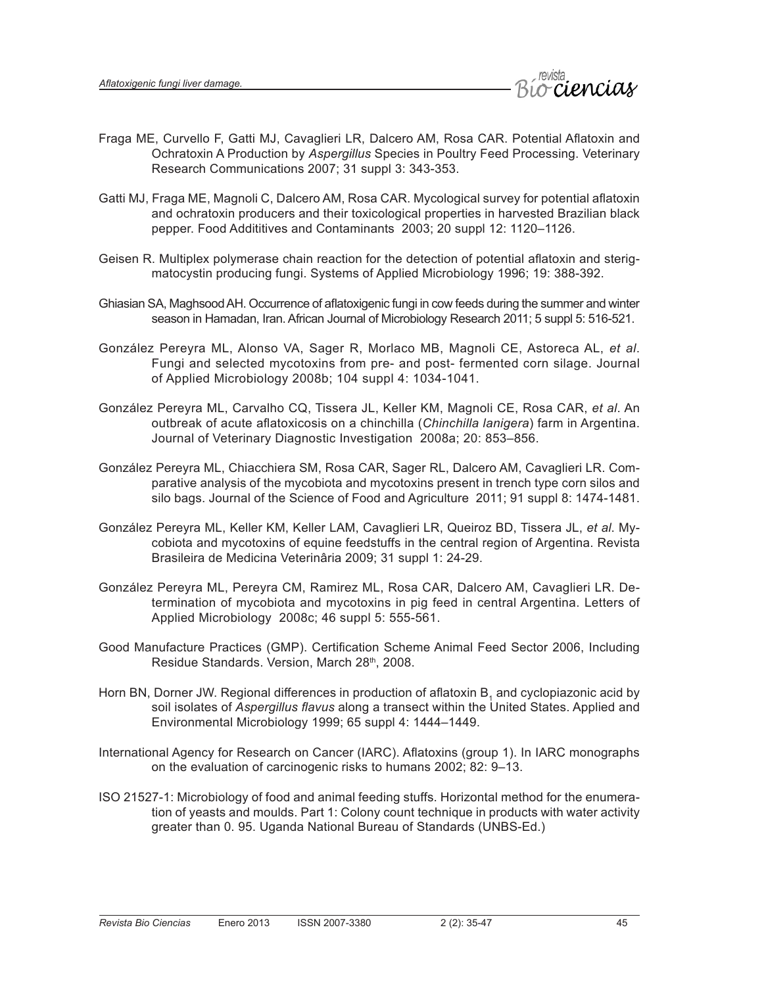

- Fraga ME, Curvello F, Gatti MJ, Cavaglieri LR, Dalcero AM, Rosa CAR. Potential Aflatoxin and Ochratoxin A Production by *Aspergillus* Species in Poultry Feed Processing. Veterinary Research Communications 2007; 31 suppl 3: 343-353.
- Gatti MJ, Fraga ME, Magnoli C, Dalcero AM, Rosa CAR. Mycological survey for potential aflatoxin and ochratoxin producers and their toxicological properties in harvested Brazilian black pepper. Food Addititives and Contaminants 2003; 20 suppl 12: 1120–1126.
- Geisen R. Multiplex polymerase chain reaction for the detection of potential aflatoxin and sterigmatocystin producing fungi. Systems of Applied Microbiology 1996; 19: 388-392.
- Ghiasian SA, Maghsood AH. Occurrence of aflatoxigenic fungi in cow feeds during the summer and winter season in Hamadan, Iran. African Journal of Microbiology Research 2011; 5 suppl 5: 516-521.
- González Pereyra ML, Alonso VA, Sager R, Morlaco MB, Magnoli CE, Astoreca AL, *et al*. Fungi and selected mycotoxins from pre- and post- fermented corn silage. Journal of Applied Microbiology 2008b; 104 suppl 4: 1034-1041.
- González Pereyra ML, Carvalho CQ, Tissera JL, Keller KM, Magnoli CE, Rosa CAR, *et al*. An outbreak of acute aflatoxicosis on a chinchilla (*Chinchilla lanigera*) farm in Argentina. Journal of Veterinary Diagnostic Investigation 2008a; 20: 853–856.
- González Pereyra ML, Chiacchiera SM, Rosa CAR, Sager RL, Dalcero AM, Cavaglieri LR. Comparative analysis of the mycobiota and mycotoxins present in trench type corn silos and silo bags. Journal of the Science of Food and Agriculture 2011; 91 suppl 8: 1474-1481.
- González Pereyra ML, Keller KM, Keller LAM, Cavaglieri LR, Queiroz BD, Tissera JL, *et al*. Mycobiota and mycotoxins of equine feedstuffs in the central region of Argentina. Revista Brasileira de Medicina Veterinâria 2009; 31 suppl 1: 24-29.
- González Pereyra ML, Pereyra CM, Ramirez ML, Rosa CAR, Dalcero AM, Cavaglieri LR. Determination of mycobiota and mycotoxins in pig feed in central Argentina. Letters of Applied Microbiology 2008c; 46 suppl 5: 555-561.
- Good Manufacture Practices (GMP). Certification Scheme Animal Feed Sector 2006, Including Residue Standards. Version, March 28th, 2008.
- Horn BN, Dorner JW. Regional differences in production of aflatoxin  $B_1$  and cyclopiazonic acid by soil isolates of *Aspergillus flavus* along a transect within the United States. Applied and Environmental Microbiology 1999; 65 suppl 4: 1444–1449.
- International Agency for Research on Cancer (IARC). Aflatoxins (group 1). In IARC monographs on the evaluation of carcinogenic risks to humans 2002; 82: 9–13.
- ISO 21527-1: Microbiology of food and animal feeding stuffs. Horizontal method for the enumeration of yeasts and moulds. Part 1: Colony count technique in products with water activity greater than 0. 95. Uganda National Bureau of Standards (UNBS-Ed.)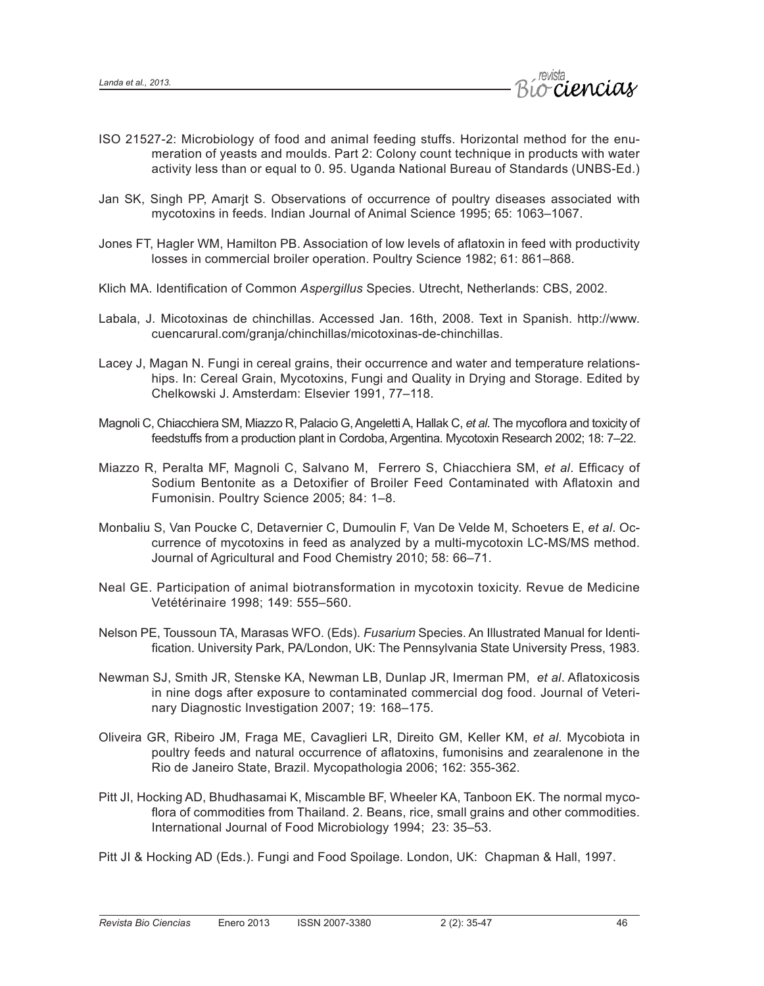

- ISO 21527-2: Microbiology of food and animal feeding stuffs. Horizontal method for the enumeration of yeasts and moulds. Part 2: Colony count technique in products with water activity less than or equal to 0. 95. Uganda National Bureau of Standards (UNBS-Ed.)
- Jan SK, Singh PP, Amarjt S. Observations of occurrence of poultry diseases associated with mycotoxins in feeds. Indian Journal of Animal Science 1995; 65: 1063–1067.
- Jones FT, Hagler WM, Hamilton PB. Association of low levels of aflatoxin in feed with productivity losses in commercial broiler operation. Poultry Science 1982; 61: 861–868.
- Klich MA. Identification of Common *Aspergillus* Species. Utrecht, Netherlands: CBS, 2002.
- Labala, J. Micotoxinas de chinchillas. Accessed Jan. 16th, 2008. Text in Spanish. http://www. cuencarural.com/granja/chinchillas/micotoxinas-de-chinchillas.
- Lacey J, Magan N. Fungi in cereal grains, their occurrence and water and temperature relationships. In: Cereal Grain, Mycotoxins, Fungi and Quality in Drying and Storage. Edited by Chelkowski J. Amsterdam: Elsevier 1991, 77–118.
- Magnoli C, Chiacchiera SM, Miazzo R, Palacio G, Angeletti A, Hallak C, *et al*. The mycoflora and toxicity of feedstuffs from a production plant in Cordoba, Argentina. Mycotoxin Research 2002; 18: 7–22.
- Miazzo R, Peralta MF, Magnoli C, Salvano M, Ferrero S, Chiacchiera SM, *et al*. Efficacy of Sodium Bentonite as a Detoxifier of Broiler Feed Contaminated with Aflatoxin and Fumonisin. Poultry Science 2005; 84: 1–8.
- Monbaliu S, Van Poucke C, Detavernier C, Dumoulin F, Van De Velde M, Schoeters E, *et al*. Occurrence of mycotoxins in feed as analyzed by a multi-mycotoxin LC-MS/MS method. Journal of Agricultural and Food Chemistry 2010; 58: 66–71.
- Neal GE. Participation of animal biotransformation in mycotoxin toxicity. Revue de Medicine Vetétérinaire 1998; 149: 555–560.
- Nelson PE, Toussoun TA, Marasas WFO. (Eds). *Fusarium* Species. An Illustrated Manual for Identification. University Park, PA/London, UK: The Pennsylvania State University Press, 1983.
- Newman SJ, Smith JR, Stenske KA, Newman LB, Dunlap JR, Imerman PM, *et al*. Aflatoxicosis in nine dogs after exposure to contaminated commercial dog food. Journal of Veterinary Diagnostic Investigation 2007; 19: 168–175.
- Oliveira GR, Ribeiro JM, Fraga ME, Cavaglieri LR, Direito GM, Keller KM, *et al*. Mycobiota in poultry feeds and natural occurrence of aflatoxins, fumonisins and zearalenone in the Rio de Janeiro State, Brazil. Mycopathologia 2006; 162: 355-362.
- Pitt JI, Hocking AD, Bhudhasamai K, Miscamble BF, Wheeler KA, Tanboon EK. The normal mycoflora of commodities from Thailand. 2. Beans, rice, small grains and other commodities. International Journal of Food Microbiology 1994; 23: 35–53.
- Pitt JI & Hocking AD (Eds.). Fungi and Food Spoilage. London, UK: Chapman & Hall, 1997.